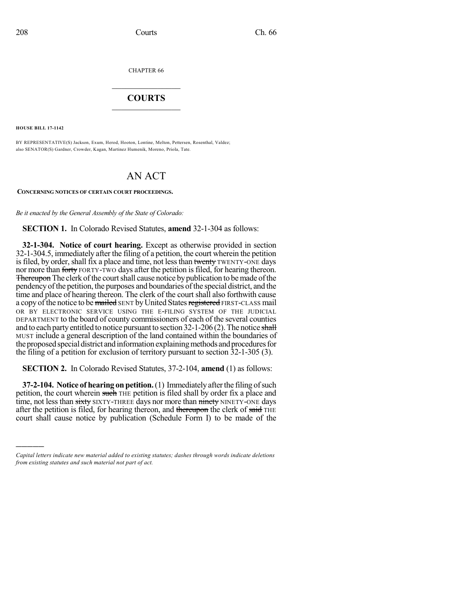CHAPTER 66

## $\overline{\phantom{a}}$  . The set of the set of the set of the set of the set of the set of the set of the set of the set of the set of the set of the set of the set of the set of the set of the set of the set of the set of the set o **COURTS**  $\_$   $\_$   $\_$   $\_$   $\_$   $\_$   $\_$   $\_$

**HOUSE BILL 17-1142**

)))))

BY REPRESENTATIVE(S) Jackson, Exum, Herod, Hooton, Lontine, Melton, Pettersen, Rosenthal, Valdez; also SENATOR(S) Gardner, Crowder, Kagan, Martinez Humenik, Moreno, Priola, Tate.

## AN ACT

**CONCERNING NOTICES OF CERTAIN COURT PROCEEDINGS.**

*Be it enacted by the General Assembly of the State of Colorado:*

**SECTION 1.** In Colorado Revised Statutes, **amend** 32-1-304 as follows:

**32-1-304. Notice of court hearing.** Except as otherwise provided in section 32-1-304.5, immediately after the filing of a petition, the court wherein the petition is filed, by order, shall fix a place and time, not less than twenty TWENTY-ONE days nor more than forty FORTY-TWO days after the petition is filed, for hearing thereon. Thereupon The clerk of the court shall cause notice by publication to be made of the pendency of the petition, the purposes and boundaries of the special district, and the time and place of hearing thereon. The clerk of the court shall also forthwith cause a copy of the notice to be mailed SENT by United States registered FIRST-CLASS mail OR BY ELECTRONIC SERVICE USING THE E-FILING SYSTEM OF THE JUDICIAL DEPARTMENT to the board of county commissioners of each of the several counties and to each party entitled to notice pursuant to section  $32$ -1-206 (2). The notice shall MUST include a general description of the land contained within the boundaries of the proposed special district and information explaining methods and procedures for the filing of a petition for exclusion of territory pursuant to section 32-1-305 (3).

**SECTION 2.** In Colorado Revised Statutes, 37-2-104, **amend** (1) as follows:

**37-2-104.** Notice of hearing on petition. (1) Immediately after the filing of such petition, the court wherein such THE petition is filed shall by order fix a place and time, not less than sixty SIXTY-THREE days nor more than ninety NINETY-ONE days after the petition is filed, for hearing thereon, and thereupon the clerk of said THE court shall cause notice by publication (Schedule Form I) to be made of the

*Capital letters indicate new material added to existing statutes; dashes through words indicate deletions from existing statutes and such material not part of act.*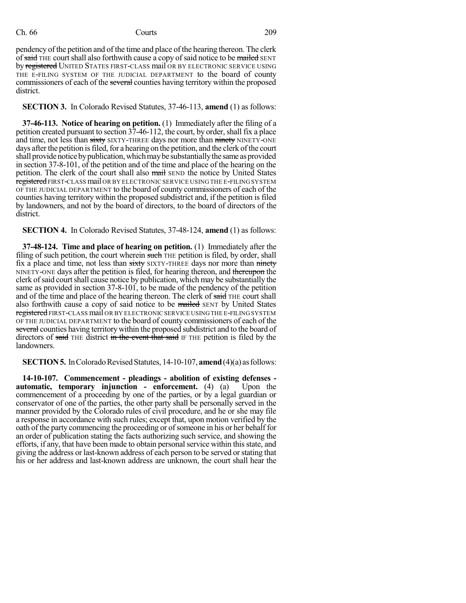## Ch. 66 Courts 209

pendency of the petition and of the time and place of the hearing thereon. The clerk of said THE court shall also forthwith cause a copy of said notice to be mailed SENT by registered UNITED STATES FIRST-CLASS mail OR BY ELECTRONIC SERVICE USING THE E-FILING SYSTEM OF THE JUDICIAL DEPARTMENT to the board of county commissioners of each of the several counties having territory within the proposed district.

**SECTION 3.** In Colorado Revised Statutes, 37-46-113, **amend** (1) as follows:

**37-46-113. Notice of hearing on petition.** (1) Immediately after the filing of a petition created pursuant to section  $37-46-112$ , the court, by order, shall fix a place and time, not less than sixty SIXTY-THREE days nor more than ninety NINETY-ONE days after the petition is filed, for a hearing on the petition, and the clerk of the court shall provide notice by publication, which may be substantially the same as provided in section 37-8-101, of the petition and of the time and place of the hearing on the petition. The clerk of the court shall also mail SEND the notice by United States registered FIRST-CLASS mail OR BY ELECTRONIC SERVICE USING THE E-FILING SYSTEM OF THE JUDICIAL DEPARTMENT to the board of county commissioners of each of the counties having territory within the proposed subdistrict and, if the petition is filed by landowners, and not by the board of directors, to the board of directors of the district.

**SECTION 4.** In Colorado Revised Statutes, 37-48-124, **amend** (1) as follows:

**37-48-124. Time and place of hearing on petition.** (1) Immediately after the filing of such petition, the court wherein such THE petition is filed, by order, shall fix a place and time, not less than sixty SIXTY-THREE days nor more than ninety NINETY-ONE days after the petition is filed, for hearing thereon, and thereupon the clerk of said court shall cause notice by publication, which may be substantially the same as provided in section 37-8-101, to be made of the pendency of the petition and of the time and place of the hearing thereon. The clerk of said THE court shall also forthwith cause a copy of said notice to be mailed SENT by United States registered FIRST-CLASS mail OR BY ELECTRONIC SERVICE USING THE E-FILING SYSTEM OF THE JUDICIAL DEPARTMENT to the board of county commissioners of each of the several counties having territory within the proposed subdistrict and to the board of directors of said THE district in the event that said IF THE petition is filed by the landowners.

**SECTION 5.** In Colorado Revised Statutes, 14-10-107, **amend** (4)(a) as follows:

**14-10-107. Commencement - pleadings - abolition of existing defenses automatic, temporary injunction - enforcement.** (4) (a) Upon the commencement of a proceeding by one of the parties, or by a legal guardian or conservator of one of the parties, the other party shall be personally served in the manner provided by the Colorado rules of civil procedure, and he or she may file a response in accordance with such rules; except that, upon motion verified by the oath of the party commencing the proceeding or of someone in his or her behalf for an order of publication stating the facts authorizing such service, and showing the efforts, if any, that have been made to obtain personalservice within thisstate, and giving the address or last-known address of each person to be served orstating that his or her address and last-known address are unknown, the court shall hear the